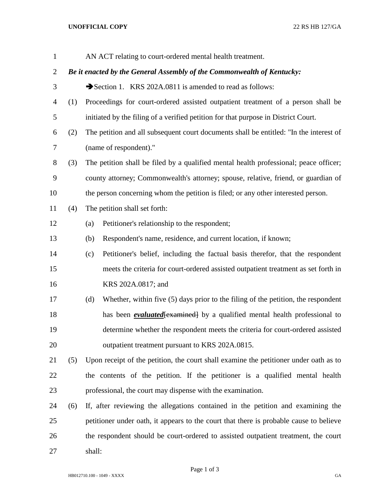## **UNOFFICIAL COPY** 22 RS HB 127/GA

| $\mathbf{1}$   |                                                                        |                                                                                        | AN ACT relating to court-ordered mental health treatment.                                |  |
|----------------|------------------------------------------------------------------------|----------------------------------------------------------------------------------------|------------------------------------------------------------------------------------------|--|
| $\overline{c}$ | Be it enacted by the General Assembly of the Commonwealth of Kentucky: |                                                                                        |                                                                                          |  |
| 3              |                                                                        |                                                                                        | Section 1. KRS 202A.0811 is amended to read as follows:                                  |  |
| 4              | (1)                                                                    |                                                                                        | Proceedings for court-ordered assisted outpatient treatment of a person shall be         |  |
| 5              |                                                                        |                                                                                        | initiated by the filing of a verified petition for that purpose in District Court.       |  |
| 6              | (2)                                                                    | The petition and all subsequent court documents shall be entitled: "In the interest of |                                                                                          |  |
| 7              |                                                                        |                                                                                        | (name of respondent)."                                                                   |  |
| 8              | (3)                                                                    |                                                                                        | The petition shall be filed by a qualified mental health professional; peace officer;    |  |
| 9              |                                                                        |                                                                                        | county attorney; Commonwealth's attorney; spouse, relative, friend, or guardian of       |  |
| 10             |                                                                        |                                                                                        | the person concerning whom the petition is filed; or any other interested person.        |  |
| 11             | (4)                                                                    |                                                                                        | The petition shall set forth:                                                            |  |
| 12             |                                                                        | (a)                                                                                    | Petitioner's relationship to the respondent;                                             |  |
| 13             |                                                                        | (b)                                                                                    | Respondent's name, residence, and current location, if known;                            |  |
| 14             |                                                                        | (c)                                                                                    | Petitioner's belief, including the factual basis therefor, that the respondent           |  |
| 15             |                                                                        |                                                                                        | meets the criteria for court-ordered assisted outpatient treatment as set forth in       |  |
| 16             |                                                                        |                                                                                        | KRS 202A.0817; and                                                                       |  |
| 17             |                                                                        | (d)                                                                                    | Whether, within five (5) days prior to the filing of the petition, the respondent        |  |
| 18             |                                                                        |                                                                                        | has been <b><i>evaluated</i></b> [examined] by a qualified mental health professional to |  |
| 19             |                                                                        |                                                                                        | determine whether the respondent meets the criteria for court-ordered assisted           |  |
| 20             |                                                                        |                                                                                        | outpatient treatment pursuant to KRS 202A.0815.                                          |  |
| 21             | (5)                                                                    |                                                                                        | Upon receipt of the petition, the court shall examine the petitioner under oath as to    |  |
| 22             |                                                                        |                                                                                        | the contents of the petition. If the petitioner is a qualified mental health             |  |
| 23             |                                                                        |                                                                                        | professional, the court may dispense with the examination.                               |  |
| 24             | (6)                                                                    |                                                                                        | If, after reviewing the allegations contained in the petition and examining the          |  |
| 25             |                                                                        |                                                                                        | petitioner under oath, it appears to the court that there is probable cause to believe   |  |
| 26             |                                                                        |                                                                                        | the respondent should be court-ordered to assisted outpatient treatment, the court       |  |
| 27             |                                                                        | shall:                                                                                 |                                                                                          |  |

Page 1 of 3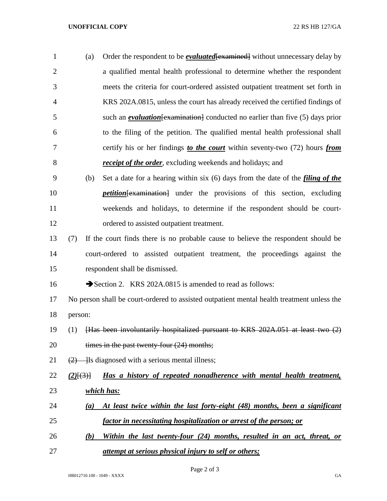## **UNOFFICIAL COPY** 22 RS HB 127/GA

| 2<br>a qualified mental health professional to determine whether the respondent                           |  |
|-----------------------------------------------------------------------------------------------------------|--|
| 3<br>meets the criteria for court-ordered assisted outpatient treatment set forth in                      |  |
| $\overline{4}$<br>KRS 202A.0815, unless the court has already received the certified findings of          |  |
| $\overline{5}$<br>such an <i>evaluation</i> [examination] conducted no earlier than five $(5)$ days prior |  |
| to the filing of the petition. The qualified mental health professional shall<br>6                        |  |
| 7<br>certify his or her findings to the court within seventy-two (72) hours from                          |  |
| 8<br><i>receipt of the order</i> , excluding weekends and holidays; and                                   |  |

- (b) Set a date for a hearing within six (6) days from the date of the *filing of the petition*[examination] under the provisions of this section, excluding weekends and holidays, to determine if the respondent should be court-ordered to assisted outpatient treatment.
- (7) If the court finds there is no probable cause to believe the respondent should be court-ordered to assisted outpatient treatment, the proceedings against the respondent shall be dismissed.

16 Section 2. KRS 202A.0815 is amended to read as follows:

 No person shall be court-ordered to assisted outpatient mental health treatment unless the person:

- (1) [Has been involuntarily hospitalized pursuant to KRS 202A.051 at least two (2) 20 times in the past twenty-four (24) months;
- 21  $(2)$  Is diagnosed with a serious mental illness;
- *(2)*[(3)] *Has a history of repeated nonadherence with mental health treatment, which has:*
- *(a) At least twice within the last forty-eight (48) months, been a significant factor in necessitating hospitalization or arrest of the person; or*
- *(b) Within the last twenty-four (24) months, resulted in an act, threat, or attempt at serious physical injury to self or others;*